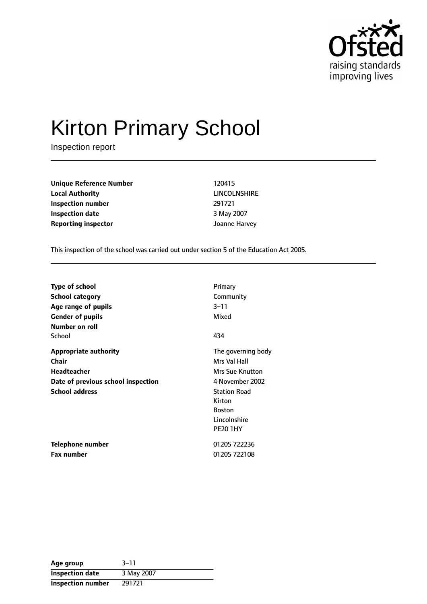

# Kirton Primary School

Inspection report

**Unique Reference Number** 120415 **Local Authority** LINCOLNSHIRE **Inspection number** 291721 **Inspection date** 3 May 2007 **Reporting inspector** Joanne Harvey

This inspection of the school was carried out under section 5 of the Education Act 2005.

| <b>Type of school</b>              | Primary             |
|------------------------------------|---------------------|
| <b>School category</b>             | Community           |
| Age range of pupils                | 3–11                |
| <b>Gender of pupils</b>            | Mixed               |
| Number on roll                     |                     |
| School                             | 434                 |
| <b>Appropriate authority</b>       | The governing body  |
| <b>Chair</b>                       | Mrs Val Hall        |
| <b>Headteacher</b>                 | Mrs Sue Knutton     |
| Date of previous school inspection | 4 November 2002     |
| <b>School address</b>              | <b>Station Road</b> |
|                                    | Kirton              |
|                                    | <b>Boston</b>       |
|                                    | Lincolnshire        |
|                                    | <b>PE20 1HY</b>     |
| Telephone number                   | 01205 722236        |
| <b>Fax number</b>                  | 01205 722108        |

| Age group              | $3 - 11$   |
|------------------------|------------|
| <b>Inspection date</b> | 3 May 2007 |
| Inspection number      | 291721     |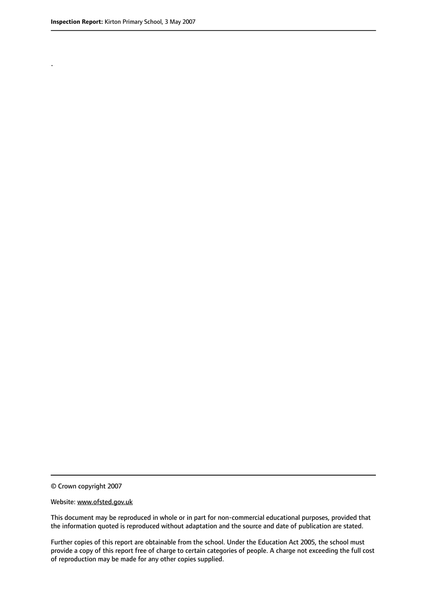.

© Crown copyright 2007

#### Website: www.ofsted.gov.uk

This document may be reproduced in whole or in part for non-commercial educational purposes, provided that the information quoted is reproduced without adaptation and the source and date of publication are stated.

Further copies of this report are obtainable from the school. Under the Education Act 2005, the school must provide a copy of this report free of charge to certain categories of people. A charge not exceeding the full cost of reproduction may be made for any other copies supplied.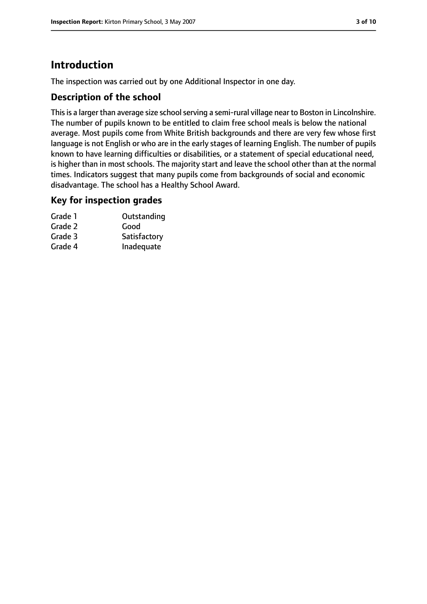# **Introduction**

The inspection was carried out by one Additional Inspector in one day.

## **Description of the school**

This is a larger than average size school serving a semi-rural village near to Boston in Lincolnshire. The number of pupils known to be entitled to claim free school meals is below the national average. Most pupils come from White British backgrounds and there are very few whose first language is not English or who are in the early stages of learning English. The number of pupils known to have learning difficulties or disabilities, or a statement of special educational need, is higher than in most schools. The majority start and leave the school other than at the normal times. Indicators suggest that many pupils come from backgrounds of social and economic disadvantage. The school has a Healthy School Award.

## **Key for inspection grades**

| Grade 1 | Outstanding  |
|---------|--------------|
| Grade 2 | Good         |
| Grade 3 | Satisfactory |
| Grade 4 | Inadequate   |
|         |              |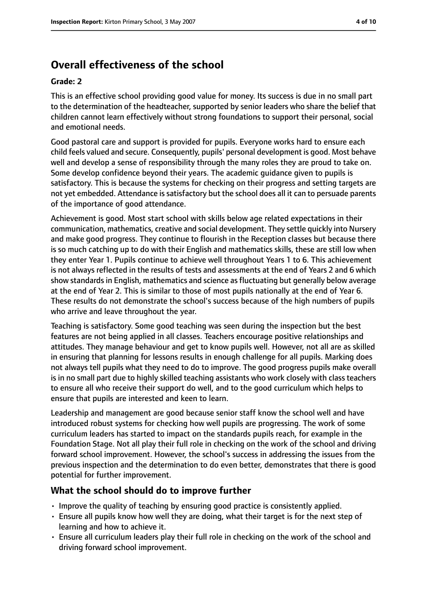# **Overall effectiveness of the school**

#### **Grade: 2**

This is an effective school providing good value for money. Its success is due in no small part to the determination of the headteacher, supported by senior leaders who share the belief that children cannot learn effectively without strong foundations to support their personal, social and emotional needs.

Good pastoral care and support is provided for pupils. Everyone works hard to ensure each child feels valued and secure. Consequently, pupils' personal development is good. Most behave well and develop a sense of responsibility through the many roles they are proud to take on. Some develop confidence beyond their years. The academic guidance given to pupils is satisfactory. This is because the systems for checking on their progress and setting targets are not yet embedded. Attendance is satisfactory but the school does all it can to persuade parents of the importance of good attendance.

Achievement is good. Most start school with skills below age related expectations in their communication, mathematics, creative and social development. They settle quickly into Nursery and make good progress. They continue to flourish in the Reception classes but because there is so much catching up to do with their English and mathematics skills, these are still low when they enter Year 1. Pupils continue to achieve well throughout Years 1 to 6. This achievement is not always reflected in the results of tests and assessments at the end of Years 2 and 6 which show standards in English, mathematics and science as fluctuating but generally below average at the end of Year 2. This is similar to those of most pupils nationally at the end of Year 6. These results do not demonstrate the school's success because of the high numbers of pupils who arrive and leave throughout the year.

Teaching is satisfactory. Some good teaching was seen during the inspection but the best features are not being applied in all classes. Teachers encourage positive relationships and attitudes. They manage behaviour and get to know pupils well. However, not all are as skilled in ensuring that planning for lessons results in enough challenge for all pupils. Marking does not always tell pupils what they need to do to improve. The good progress pupils make overall is in no small part due to highly skilled teaching assistants who work closely with class teachers to ensure all who receive their support do well, and to the good curriculum which helps to ensure that pupils are interested and keen to learn.

Leadership and management are good because senior staff know the school well and have introduced robust systems for checking how well pupils are progressing. The work of some curriculum leaders has started to impact on the standards pupils reach, for example in the Foundation Stage. Not all play their full role in checking on the work of the school and driving forward school improvement. However, the school's success in addressing the issues from the previous inspection and the determination to do even better, demonstrates that there is good potential for further improvement.

## **What the school should do to improve further**

- Improve the quality of teaching by ensuring good practice is consistently applied.
- Ensure all pupils know how well they are doing, what their target is for the next step of learning and how to achieve it.
- Ensure all curriculum leaders play their full role in checking on the work of the school and driving forward school improvement.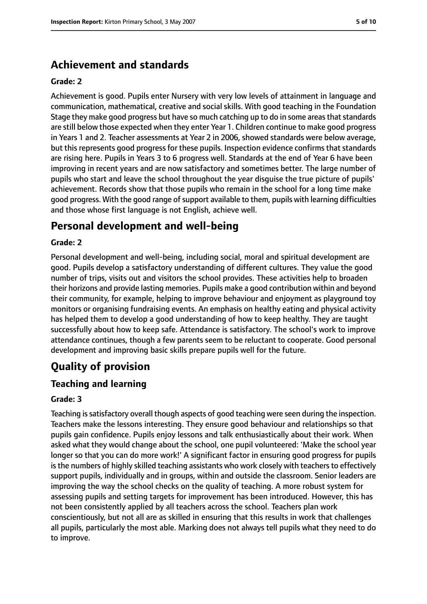# **Achievement and standards**

#### **Grade: 2**

Achievement is good. Pupils enter Nursery with very low levels of attainment in language and communication, mathematical, creative and social skills. With good teaching in the Foundation Stage they make good progress but have so much catching up to do in some areas that standards are still below those expected when they enter Year 1. Children continue to make good progress in Years 1 and 2. Teacher assessments at Year 2 in 2006, showed standards were below average, but this represents good progress for these pupils. Inspection evidence confirms that standards are rising here. Pupils in Years 3 to 6 progress well. Standards at the end of Year 6 have been improving in recent years and are now satisfactory and sometimes better. The large number of pupils who start and leave the school throughout the year disguise the true picture of pupils' achievement. Records show that those pupils who remain in the school for a long time make good progress. With the good range of support available to them, pupils with learning difficulties and those whose first language is not English, achieve well.

# **Personal development and well-being**

#### **Grade: 2**

Personal development and well-being, including social, moral and spiritual development are good. Pupils develop a satisfactory understanding of different cultures. They value the good number of trips, visits out and visitors the school provides. These activities help to broaden their horizons and provide lasting memories. Pupils make a good contribution within and beyond their community, for example, helping to improve behaviour and enjoyment as playground toy monitors or organising fundraising events. An emphasis on healthy eating and physical activity has helped them to develop a good understanding of how to keep healthy. They are taught successfully about how to keep safe. Attendance is satisfactory. The school's work to improve attendance continues, though a few parents seem to be reluctant to cooperate. Good personal development and improving basic skills prepare pupils well for the future.

# **Quality of provision**

## **Teaching and learning**

#### **Grade: 3**

Teaching is satisfactory overall though aspects of good teaching were seen during the inspection. Teachers make the lessons interesting. They ensure good behaviour and relationships so that pupils gain confidence. Pupils enjoy lessons and talk enthusiastically about their work. When asked what they would change about the school, one pupil volunteered: 'Make the school year longer so that you can do more work!' A significant factor in ensuring good progress for pupils is the numbers of highly skilled teaching assistants who work closely with teachers to effectively support pupils, individually and in groups, within and outside the classroom. Senior leaders are improving the way the school checks on the quality of teaching. A more robust system for assessing pupils and setting targets for improvement has been introduced. However, this has not been consistently applied by all teachers across the school. Teachers plan work conscientiously, but not all are as skilled in ensuring that this results in work that challenges all pupils, particularly the most able. Marking does not always tell pupils what they need to do to improve.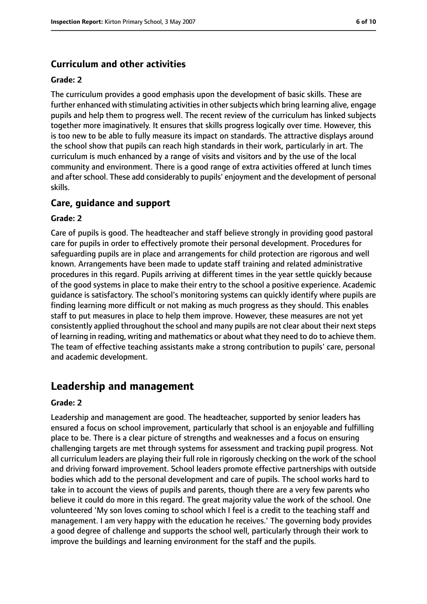#### **Curriculum and other activities**

#### **Grade: 2**

The curriculum provides a good emphasis upon the development of basic skills. These are further enhanced with stimulating activities in other subjects which bring learning alive, engage pupils and help them to progress well. The recent review of the curriculum has linked subjects together more imaginatively. It ensures that skills progress logically over time. However, this is too new to be able to fully measure its impact on standards. The attractive displays around the school show that pupils can reach high standards in their work, particularly in art. The curriculum is much enhanced by a range of visits and visitors and by the use of the local community and environment. There is a good range of extra activities offered at lunch times and after school. These add considerably to pupils' enjoyment and the development of personal skills.

#### **Care, guidance and support**

#### **Grade: 2**

Care of pupils is good. The headteacher and staff believe strongly in providing good pastoral care for pupils in order to effectively promote their personal development. Procedures for safeguarding pupils are in place and arrangements for child protection are rigorous and well known. Arrangements have been made to update staff training and related administrative procedures in this regard. Pupils arriving at different times in the year settle quickly because of the good systems in place to make their entry to the school a positive experience. Academic guidance is satisfactory. The school's monitoring systems can quickly identify where pupils are finding learning more difficult or not making as much progress as they should. This enables staff to put measures in place to help them improve. However, these measures are not yet consistently applied throughout the school and many pupils are not clear about their next steps of learning in reading, writing and mathematics or about what they need to do to achieve them. The team of effective teaching assistants make a strong contribution to pupils' care, personal and academic development.

# **Leadership and management**

#### **Grade: 2**

Leadership and management are good. The headteacher, supported by senior leaders has ensured a focus on school improvement, particularly that school is an enjoyable and fulfilling place to be. There is a clear picture of strengths and weaknesses and a focus on ensuring challenging targets are met through systems for assessment and tracking pupil progress. Not all curriculum leaders are playing their full role in rigorously checking on the work of the school and driving forward improvement. School leaders promote effective partnerships with outside bodies which add to the personal development and care of pupils. The school works hard to take in to account the views of pupils and parents, though there are a very few parents who believe it could do more in this regard. The great majority value the work of the school. One volunteered 'My son loves coming to school which I feel is a credit to the teaching staff and management. I am very happy with the education he receives.' The governing body provides a good degree of challenge and supports the school well, particularly through their work to improve the buildings and learning environment for the staff and the pupils.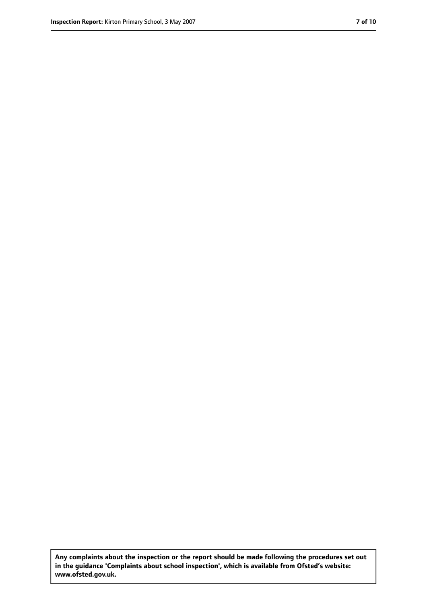**Any complaints about the inspection or the report should be made following the procedures set out in the guidance 'Complaints about school inspection', which is available from Ofsted's website: www.ofsted.gov.uk.**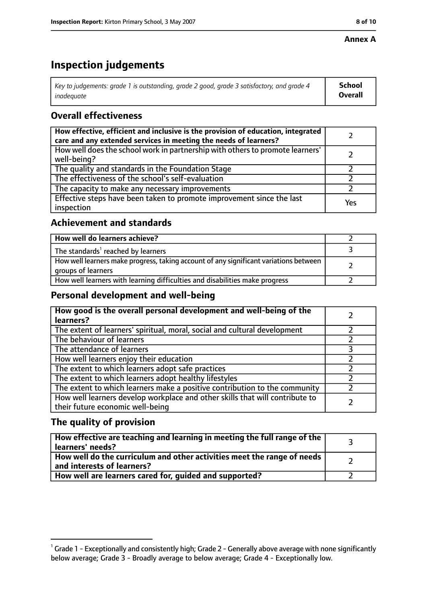#### **Annex A**

# **Inspection judgements**

| Key to judgements: grade 1 is outstanding, grade 2 good, grade 3 satisfactory, and grade 4 $\,$ | <b>School</b>  |
|-------------------------------------------------------------------------------------------------|----------------|
| inadequate                                                                                      | <b>Overall</b> |

## **Overall effectiveness**

| How effective, efficient and inclusive is the provision of education, integrated<br>care and any extended services in meeting the needs of learners? |     |
|------------------------------------------------------------------------------------------------------------------------------------------------------|-----|
| How well does the school work in partnership with others to promote learners'<br>well-being?                                                         |     |
| The quality and standards in the Foundation Stage                                                                                                    |     |
| The effectiveness of the school's self-evaluation                                                                                                    |     |
| The capacity to make any necessary improvements                                                                                                      |     |
| Effective steps have been taken to promote improvement since the last<br>inspection                                                                  | Yes |

## **Achievement and standards**

| How well do learners achieve?                                                                               |  |
|-------------------------------------------------------------------------------------------------------------|--|
| The standards <sup>1</sup> reached by learners                                                              |  |
| How well learners make progress, taking account of any significant variations between<br>groups of learners |  |
| How well learners with learning difficulties and disabilities make progress                                 |  |

## **Personal development and well-being**

| How good is the overall personal development and well-being of the<br>learners?                                  |  |
|------------------------------------------------------------------------------------------------------------------|--|
| The extent of learners' spiritual, moral, social and cultural development                                        |  |
| The behaviour of learners                                                                                        |  |
| The attendance of learners                                                                                       |  |
| How well learners enjoy their education                                                                          |  |
| The extent to which learners adopt safe practices                                                                |  |
| The extent to which learners adopt healthy lifestyles                                                            |  |
| The extent to which learners make a positive contribution to the community                                       |  |
| How well learners develop workplace and other skills that will contribute to<br>their future economic well-being |  |

## **The quality of provision**

| How effective are teaching and learning in meeting the full range of the<br>learners' needs?          |  |
|-------------------------------------------------------------------------------------------------------|--|
| How well do the curriculum and other activities meet the range of needs<br>and interests of learners? |  |
| How well are learners cared for, quided and supported?                                                |  |

 $^1$  Grade 1 - Exceptionally and consistently high; Grade 2 - Generally above average with none significantly below average; Grade 3 - Broadly average to below average; Grade 4 - Exceptionally low.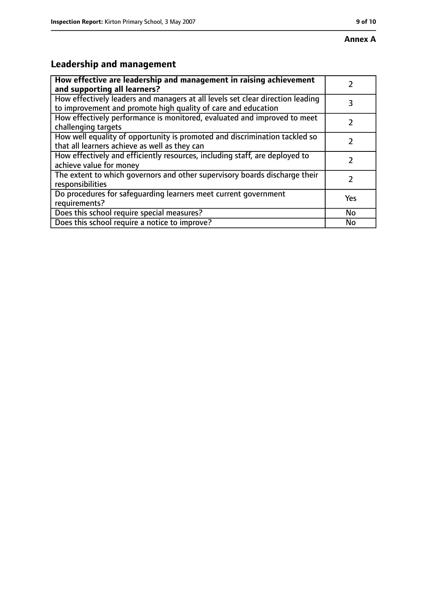# **Leadership and management**

| How effective are leadership and management in raising achievement<br>and supporting all learners?                                              |           |
|-------------------------------------------------------------------------------------------------------------------------------------------------|-----------|
| How effectively leaders and managers at all levels set clear direction leading<br>to improvement and promote high quality of care and education | 3         |
| How effectively performance is monitored, evaluated and improved to meet<br>challenging targets                                                 |           |
| How well equality of opportunity is promoted and discrimination tackled so<br>that all learners achieve as well as they can                     |           |
| How effectively and efficiently resources, including staff, are deployed to<br>achieve value for money                                          | 7         |
| The extent to which governors and other supervisory boards discharge their<br>responsibilities                                                  | 2         |
| Do procedures for safequarding learners meet current government<br>requirements?                                                                | Yes       |
| Does this school require special measures?                                                                                                      | <b>No</b> |
| Does this school require a notice to improve?                                                                                                   | No        |